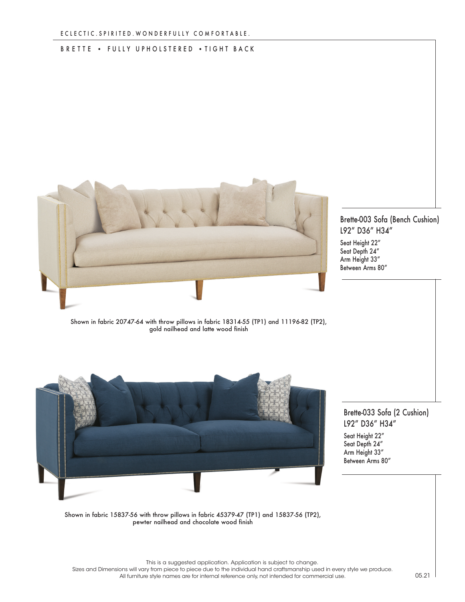## BRETTE • FULLY UPHOLSTERED • TIGHT BACK



## Brette-003 Sofa (Bench Cushion) L92" D36" H34"

Seat Height 22" Seat Depth 24" Arm Height 33" Between Arms 80"

Shown in fabric 20747-64 with throw pillows in fabric 18314-55 (TP1) and 11196-82 (TP2), gold nailhead and latte wood finish



Brette-033 Sofa (2 Cushion) L92" D36" H34"

Seat Height 22" Seat Depth 24" Arm Height 33" Between Arms 80"

Shown in fabric 15837-56 with throw pillows in fabric 45379-47 (TP1) and 15837-56 (TP2), pewter nailhead and chocolate wood finish

This is a suggested application. Application is subject to change.

Sizes and Dimensions will vary from piece to piece due to the individual hand craftsmanship used in every style we produce. All furniture style names are for internal reference only, not intended for commercial use.